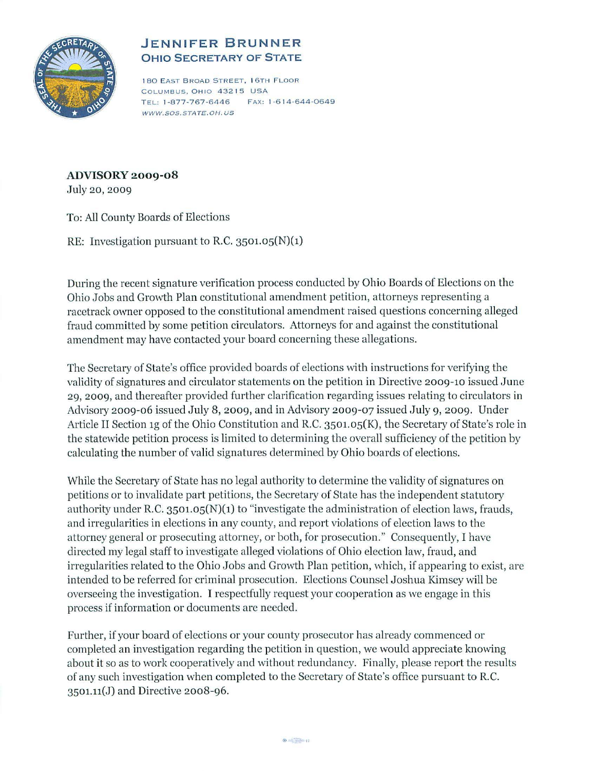

## **JENNIFER BRUNNER OHIO SECRETARY OF STATE**

180 EAST BROAD STREET, I 6TH FLOOR COLUMBUS. OHIO 43215 USA T EL: 1-877-767-6446 FAX: 1-6 14-644-0649 WWW.SOS.STATE.OH. US

## **ADVISORY 2009-08**

Ju1y 20, 2009

To: All County Boards of Elections

RE: Investigation pursuant to R.C.  $3501.05(N)(1)$ 

During the recent signature verification process conducted by Ohio Boards of E1ections on the Ohio Jobs and Growth Plan constitutional amendment petition, attorneys representing a racetrack owner opposed to the constitutional amendment raised questions concerning alleged fraud committed by some petition circulators. Attorneys for and against the constitutional amendment may have contacted your board concerning these a1legations.

The Secretary of State's office provided boards of elections with instructions for verifying the validity of signatures and circulator statements on the petition in Directive 2009-10 issued June 29, 2009, and thereafter provided further darification regarding issues relating to circulators in Advisory 2009-06 issued July 8, 2009, and in Advisory 2009-07 issued July 9, 2009. Under Article II Section 1g of the Ohio Constitution and R.C. 3501.05(K), the Secretary of State's role in the statewide petition process is limited to determining the overall sufficiency of the petition by calculating the number of valid signatures determined by Ohio boards of elections.

While the Secretary of State has no legal authority to determine the validity of signatures on petitions or to invalidate part petitions, the Secretary of State has the independent statutory authority under R.C.  $3501.05(N)(1)$  to "investigate the administration of election laws, frauds, and irregularities in elections in any county, and report violations of election laws to the attorney general or prosecuting attorney, or both, for prosecution." Consequently, I have directed my legal staff to investigate alleged violations of Ohio election law, fraud, and irregularities related to the Ohio Jobs and Growth Plan petition, which, if appearing to exist, are intended to be referred for criminal prosecution. Elections Counsel Joshua Kimsey will be overseeing the investigation. I respectfully request your cooperation as we engage in this process if information or documents are needed.

Further, if your board of elections or your county prosecutor has already commenced or completed an investigation regarding the petition in question, we would appreciate knowing about it so as to work cooperatively and without redundancy. Finally, please report the results of any such investigation when completed to the Secretary of State's office pursuant to R.C. 3501.n(J) and Directive 2008-96.